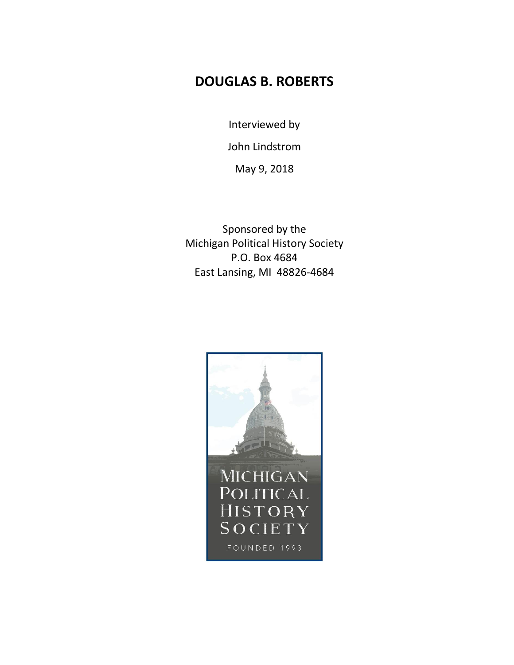## **DOUGLAS B. ROBERTS**

Interviewed by

John Lindstrom

May 9, 2018

Sponsored by the Michigan Political History Society P.O. Box 4684 East Lansing, MI 48826-4684

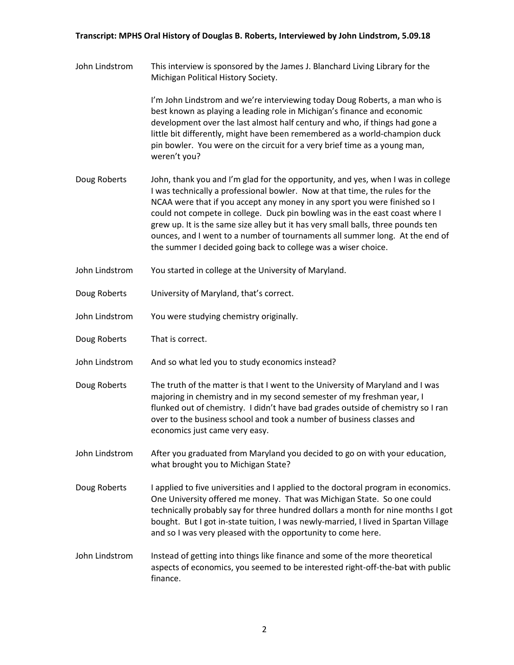## **Transcript: MPHS Oral History of Douglas B. Roberts, Interviewed by John Lindstrom, 5.09.18**

John Lindstrom This interview is sponsored by the James J. Blanchard Living Library for the Michigan Political History Society.

> I'm John Lindstrom and we're interviewing today Doug Roberts, a man who is best known as playing a leading role in Michigan's finance and economic development over the last almost half century and who, if things had gone a little bit differently, might have been remembered as a world-champion duck pin bowler. You were on the circuit for a very brief time as a young man, weren't you?

- Doug Roberts John, thank you and I'm glad for the opportunity, and yes, when I was in college I was technically a professional bowler. Now at that time, the rules for the NCAA were that if you accept any money in any sport you were finished so I could not compete in college. Duck pin bowling was in the east coast where I grew up. It is the same size alley but it has very small balls, three pounds ten ounces, and I went to a number of tournaments all summer long. At the end of the summer I decided going back to college was a wiser choice.
- John Lindstrom You started in college at the University of Maryland.
- Doug Roberts University of Maryland, that's correct.
- John Lindstrom You were studying chemistry originally.
- Doug Roberts That is correct.
- John Lindstrom And so what led you to study economics instead?
- Doug Roberts The truth of the matter is that I went to the University of Maryland and I was majoring in chemistry and in my second semester of my freshman year, I flunked out of chemistry. I didn't have bad grades outside of chemistry so I ran over to the business school and took a number of business classes and economics just came very easy.
- John Lindstrom After you graduated from Maryland you decided to go on with your education, what brought you to Michigan State?
- Doug Roberts I applied to five universities and I applied to the doctoral program in economics. One University offered me money. That was Michigan State. So one could technically probably say for three hundred dollars a month for nine months I got bought. But I got in-state tuition, I was newly-married, I lived in Spartan Village and so I was very pleased with the opportunity to come here.
- John Lindstrom Instead of getting into things like finance and some of the more theoretical aspects of economics, you seemed to be interested right-off-the-bat with public finance.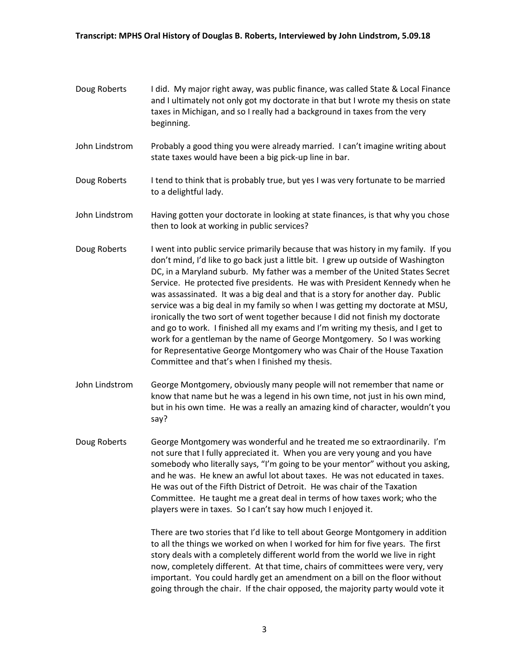## **Transcript: MPHS Oral History of Douglas B. Roberts, Interviewed by John Lindstrom, 5.09.18**

- Doug Roberts I did. My major right away, was public finance, was called State & Local Finance and I ultimately not only got my doctorate in that but I wrote my thesis on state taxes in Michigan, and so I really had a background in taxes from the very beginning.
- John Lindstrom Probably a good thing you were already married. I can't imagine writing about state taxes would have been a big pick-up line in bar.
- Doug Roberts I tend to think that is probably true, but yes I was very fortunate to be married to a delightful lady.
- John Lindstrom Having gotten your doctorate in looking at state finances, is that why you chose then to look at working in public services?
- Doug Roberts I went into public service primarily because that was history in my family. If you don't mind, I'd like to go back just a little bit. I grew up outside of Washington DC, in a Maryland suburb. My father was a member of the United States Secret Service. He protected five presidents. He was with President Kennedy when he was assassinated. It was a big deal and that is a story for another day. Public service was a big deal in my family so when I was getting my doctorate at MSU, ironically the two sort of went together because I did not finish my doctorate and go to work. I finished all my exams and I'm writing my thesis, and I get to work for a gentleman by the name of George Montgomery. So I was working for Representative George Montgomery who was Chair of the House Taxation Committee and that's when I finished my thesis.
- John Lindstrom George Montgomery, obviously many people will not remember that name or know that name but he was a legend in his own time, not just in his own mind, but in his own time. He was a really an amazing kind of character, wouldn't you say?
- Doug Roberts George Montgomery was wonderful and he treated me so extraordinarily. I'm not sure that I fully appreciated it. When you are very young and you have somebody who literally says, "I'm going to be your mentor" without you asking, and he was. He knew an awful lot about taxes. He was not educated in taxes. He was out of the Fifth District of Detroit. He was chair of the Taxation Committee. He taught me a great deal in terms of how taxes work; who the players were in taxes. So I can't say how much I enjoyed it.

There are two stories that I'd like to tell about George Montgomery in addition to all the things we worked on when I worked for him for five years. The first story deals with a completely different world from the world we live in right now, completely different. At that time, chairs of committees were very, very important. You could hardly get an amendment on a bill on the floor without going through the chair. If the chair opposed, the majority party would vote it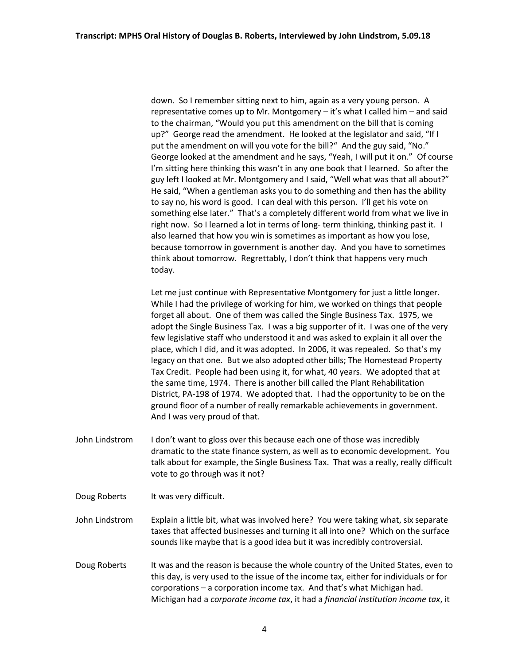down. So I remember sitting next to him, again as a very young person. A representative comes up to Mr. Montgomery – it's what I called him – and said to the chairman, "Would you put this amendment on the bill that is coming up?" George read the amendment. He looked at the legislator and said, "If I put the amendment on will you vote for the bill?" And the guy said, "No." George looked at the amendment and he says, "Yeah, I will put it on." Of course I'm sitting here thinking this wasn't in any one book that I learned. So after the guy left I looked at Mr. Montgomery and I said, "Well what was that all about?" He said, "When a gentleman asks you to do something and then has the ability to say no, his word is good. I can deal with this person. I'll get his vote on something else later." That's a completely different world from what we live in right now. So I learned a lot in terms of long- term thinking, thinking past it. I also learned that how you win is sometimes as important as how you lose, because tomorrow in government is another day. And you have to sometimes think about tomorrow. Regrettably, I don't think that happens very much today.

Let me just continue with Representative Montgomery for just a little longer. While I had the privilege of working for him, we worked on things that people forget all about. One of them was called the Single Business Tax. 1975, we adopt the Single Business Tax. I was a big supporter of it. I was one of the very few legislative staff who understood it and was asked to explain it all over the place, which I did, and it was adopted. In 2006, it was repealed. So that's my legacy on that one. But we also adopted other bills; The Homestead Property Tax Credit. People had been using it, for what, 40 years. We adopted that at the same time, 1974. There is another bill called the Plant Rehabilitation District, PA-198 of 1974. We adopted that. I had the opportunity to be on the ground floor of a number of really remarkable achievements in government. And I was very proud of that.

- John Lindstrom I don't want to gloss over this because each one of those was incredibly dramatic to the state finance system, as well as to economic development. You talk about for example, the Single Business Tax. That was a really, really difficult vote to go through was it not?
- Doug Roberts It was very difficult.

John Lindstrom Explain a little bit, what was involved here? You were taking what, six separate taxes that affected businesses and turning it all into one? Which on the surface sounds like maybe that is a good idea but it was incredibly controversial.

Doug Roberts It was and the reason is because the whole country of the United States, even to this day, is very used to the issue of the income tax, either for individuals or for corporations – a corporation income tax. And that's what Michigan had. Michigan had a *corporate income tax*, it had a *financial institution income tax*, it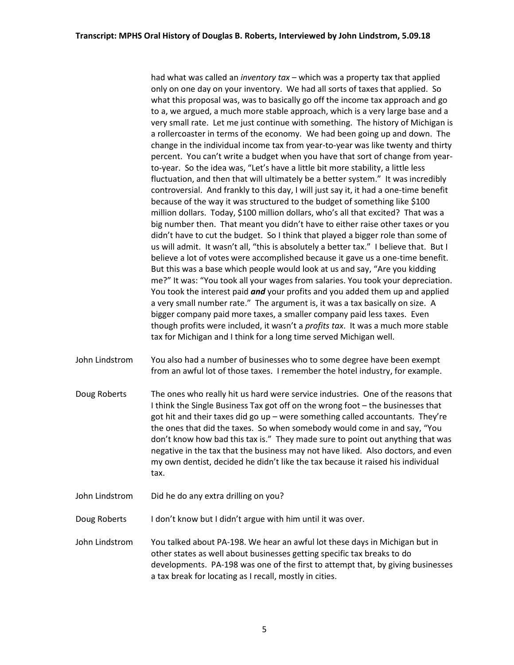had what was called an *inventory tax* – which was a property tax that applied only on one day on your inventory. We had all sorts of taxes that applied. So what this proposal was, was to basically go off the income tax approach and go to a, we argued, a much more stable approach, which is a very large base and a very small rate. Let me just continue with something. The history of Michigan is a rollercoaster in terms of the economy. We had been going up and down. The change in the individual income tax from year-to-year was like twenty and thirty percent. You can't write a budget when you have that sort of change from yearto-year. So the idea was, "Let's have a little bit more stability, a little less fluctuation, and then that will ultimately be a better system." It was incredibly controversial. And frankly to this day, I will just say it, it had a one-time benefit because of the way it was structured to the budget of something like \$100 million dollars. Today, \$100 million dollars, who's all that excited? That was a big number then. That meant you didn't have to either raise other taxes or you didn't have to cut the budget. So I think that played a bigger role than some of us will admit. It wasn't all, "this is absolutely a better tax." I believe that. But I believe a lot of votes were accomplished because it gave us a one-time benefit. But this was a base which people would look at us and say, "Are you kidding me?" It was: "You took all your wages from salaries. You took your depreciation. You took the interest paid *and* your profits and you added them up and applied a very small number rate." The argument is, it was a tax basically on size. A bigger company paid more taxes, a smaller company paid less taxes. Even though profits were included, it wasn't a *profits tax*. It was a much more stable tax for Michigan and I think for a long time served Michigan well.

- John Lindstrom You also had a number of businesses who to some degree have been exempt from an awful lot of those taxes. I remember the hotel industry, for example.
- Doug Roberts The ones who really hit us hard were service industries. One of the reasons that I think the Single Business Tax got off on the wrong foot – the businesses that got hit and their taxes did go up – were something called accountants. They're the ones that did the taxes. So when somebody would come in and say, "You don't know how bad this tax is." They made sure to point out anything that was negative in the tax that the business may not have liked. Also doctors, and even my own dentist, decided he didn't like the tax because it raised his individual tax.
- John Lindstrom Did he do any extra drilling on you?
- Doug Roberts I don't know but I didn't argue with him until it was over.

John Lindstrom You talked about PA-198. We hear an awful lot these days in Michigan but in other states as well about businesses getting specific tax breaks to do developments. PA-198 was one of the first to attempt that, by giving businesses a tax break for locating as I recall, mostly in cities.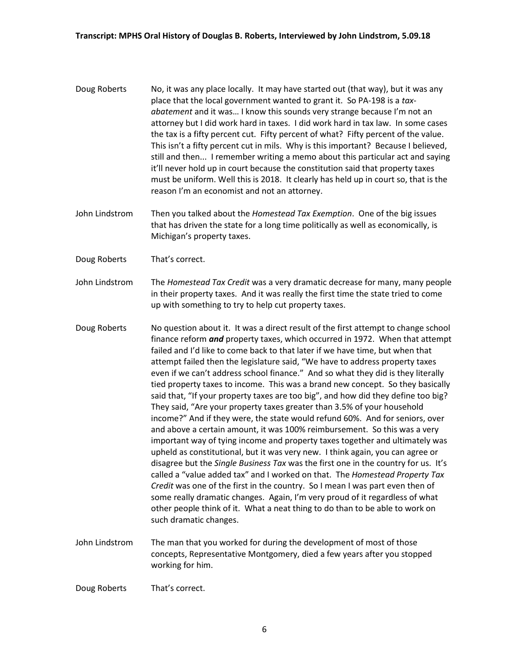- Doug Roberts No, it was any place locally. It may have started out (that way), but it was any place that the local government wanted to grant it. So PA-198 is a *taxabatement* and it was… I know this sounds very strange because I'm not an attorney but I did work hard in taxes. I did work hard in tax law. In some cases the tax is a fifty percent cut. Fifty percent of what? Fifty percent of the value. This isn't a fifty percent cut in mils. Why is this important? Because I believed, still and then... I remember writing a memo about this particular act and saying it'll never hold up in court because the constitution said that property taxes must be uniform. Well this is 2018. It clearly has held up in court so, that is the reason I'm an economist and not an attorney.
- John Lindstrom Then you talked about the *Homestead Tax Exemption*. One of the big issues that has driven the state for a long time politically as well as economically, is Michigan's property taxes.
- Doug Roberts That's correct.
- John Lindstrom The *Homestead Tax Credit* was a very dramatic decrease for many, many people in their property taxes. And it was really the first time the state tried to come up with something to try to help cut property taxes.
- Doug Roberts No question about it. It was a direct result of the first attempt to change school finance reform *and* property taxes, which occurred in 1972. When that attempt failed and I'd like to come back to that later if we have time, but when that attempt failed then the legislature said, "We have to address property taxes even if we can't address school finance." And so what they did is they literally tied property taxes to income. This was a brand new concept. So they basically said that, "If your property taxes are too big", and how did they define too big? They said, "Are your property taxes greater than 3.5% of your household income?" And if they were, the state would refund 60%. And for seniors, over and above a certain amount, it was 100% reimbursement. So this was a very important way of tying income and property taxes together and ultimately was upheld as constitutional, but it was very new. I think again, you can agree or disagree but the *Single Business Tax* was the first one in the country for us. It's called a "value added tax" and I worked on that. The *Homestead Property Tax Credit* was one of the first in the country. So I mean I was part even then of some really dramatic changes. Again, I'm very proud of it regardless of what other people think of it. What a neat thing to do than to be able to work on such dramatic changes.
- John Lindstrom The man that you worked for during the development of most of those concepts, Representative Montgomery, died a few years after you stopped working for him.

Doug Roberts That's correct.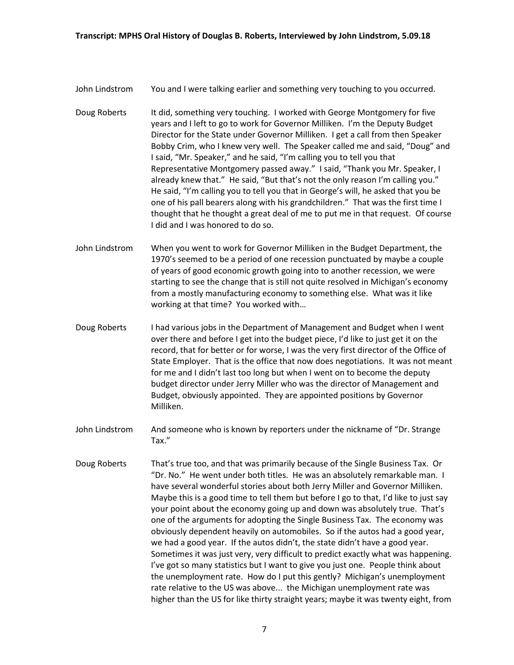John Lindstrom You and I were talking earlier and something very touching to you occurred.

- Doug Roberts It did, something very touching. I worked with George Montgomery for five years and I left to go to work for Governor Milliken. I'm the Deputy Budget Director for the State under Governor Milliken. I get a call from then Speaker Bobby Crim, who I knew very well. The Speaker called me and said, "Doug" and I said, "Mr. Speaker," and he said, "I'm calling you to tell you that Representative Montgomery passed away." I said, "Thank you Mr. Speaker, I already knew that." He said, "But that's not the only reason I'm calling you." He said, "I'm calling you to tell you that in George's will, he asked that you be one of his pall bearers along with his grandchildren." That was the first time I thought that he thought a great deal of me to put me in that request. Of course I did and I was honored to do so.
- John Lindstrom When you went to work for Governor Milliken in the Budget Department, the 1970's seemed to be a period of one recession punctuated by maybe a couple of years of good economic growth going into to another recession, we were starting to see the change that is still not quite resolved in Michigan's economy from a mostly manufacturing economy to something else. What was it like working at that time? You worked with…
- Doug Roberts Ihad various jobs in the Department of Management and Budget when I went over there and before I get into the budget piece, I'd like to just get it on the record, that for better or for worse, I was the very first director of the Office of State Employer. That is the office that now does negotiations. It was not meant for me and I didn't last too long but when I went on to become the deputy budget director under Jerry Miller who was the director of Management and Budget, obviously appointed. They are appointed positions by Governor Milliken.
- John Lindstrom And someone who is known by reporters under the nickname of "Dr. Strange Tax."
- Doug Roberts That's true too, and that was primarily because of the Single Business Tax. Or "Dr. No." He went under both titles. He was an absolutely remarkable man. I have several wonderful stories about both Jerry Miller and Governor Milliken. Maybe this is a good time to tell them but before I go to that, I'd like to just say your point about the economy going up and down was absolutely true. That's one of the arguments for adopting the Single Business Tax. The economy was obviously dependent heavily on automobiles. So if the autos had a good year, we had a good year. If the autos didn't, the state didn't have a good year. Sometimes it was just very, very difficult to predict exactly what was happening. I've got so many statistics but I want to give you just one. People think about the unemployment rate. How do I put this gently? Michigan's unemployment rate relative to the US was above... the Michigan unemployment rate was higher than the US for like thirty straight years; maybe it was twenty eight, from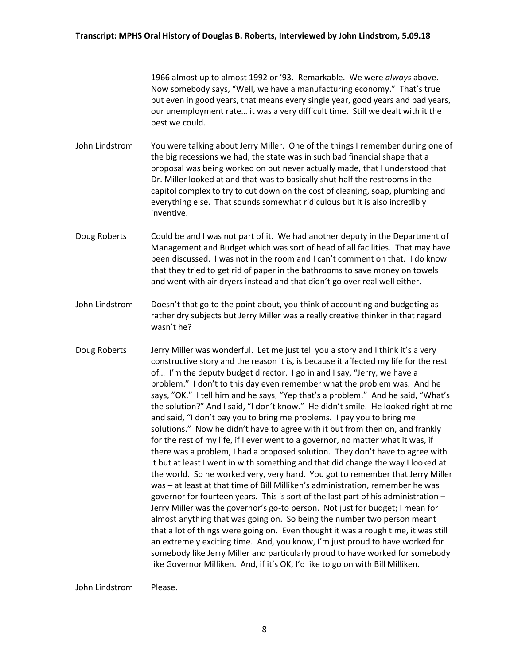1966 almost up to almost 1992 or '93. Remarkable. We were *always* above. Now somebody says, "Well, we have a manufacturing economy." That's true but even in good years, that means every single year, good years and bad years, our unemployment rate… it was a very difficult time. Still we dealt with it the best we could.

- John Lindstrom You were talking about Jerry Miller. One of the things I remember during one of the big recessions we had, the state was in such bad financial shape that a proposal was being worked on but never actually made, that I understood that Dr. Miller looked at and that was to basically shut half the restrooms in the capitol complex to try to cut down on the cost of cleaning, soap, plumbing and everything else. That sounds somewhat ridiculous but it is also incredibly inventive.
- Doug Roberts Could be and I was not part of it. We had another deputy in the Department of Management and Budget which was sort of head of all facilities. That may have been discussed. I was not in the room and I can't comment on that. I do know that they tried to get rid of paper in the bathrooms to save money on towels and went with air dryers instead and that didn't go over real well either.
- John Lindstrom Doesn't that go to the point about, you think of accounting and budgeting as rather dry subjects but Jerry Miller was a really creative thinker in that regard wasn't he?
- Doug Roberts Jerry Miller was wonderful. Let me just tell you a story and I think it's a very constructive story and the reason it is, is because it affected my life for the rest of… I'm the deputy budget director. I go in and I say, "Jerry, we have a problem." I don't to this day even remember what the problem was. And he says, "OK." I tell him and he says, "Yep that's a problem." And he said, "What's the solution?" And I said, "I don't know." He didn't smile. He looked right at me and said, "I don't pay you to bring me problems. I pay you to bring me solutions." Now he didn't have to agree with it but from then on, and frankly for the rest of my life, if I ever went to a governor, no matter what it was, if there was a problem, I had a proposed solution. They don't have to agree with it but at least I went in with something and that did change the way I looked at the world. So he worked very, very hard. You got to remember that Jerry Miller was – at least at that time of Bill Milliken's administration, remember he was governor for fourteen years. This is sort of the last part of his administration – Jerry Miller was the governor's go-to person. Not just for budget; I mean for almost anything that was going on. So being the number two person meant that a lot of things were going on. Even thought it was a rough time, it was still an extremely exciting time. And, you know, I'm just proud to have worked for somebody like Jerry Miller and particularly proud to have worked for somebody like Governor Milliken. And, if it's OK, I'd like to go on with Bill Milliken.

John Lindstrom Please.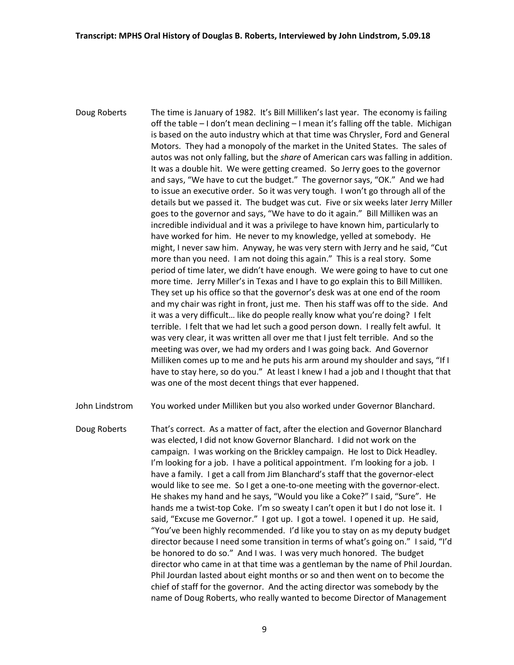- Doug Roberts The time is January of 1982. It's Bill Milliken's last year. The economy is failing off the table – I don't mean declining – I mean it's falling off the table. Michigan is based on the auto industry which at that time was Chrysler, Ford and General Motors. They had a monopoly of the market in the United States. The sales of autos was not only falling, but the *share* of American cars was falling in addition. It was a double hit. We were getting creamed. So Jerry goes to the governor and says, "We have to cut the budget." The governor says, "OK." And we had to issue an executive order. So it was very tough. I won't go through all of the details but we passed it. The budget was cut. Five or six weeks later Jerry Miller goes to the governor and says, "We have to do it again." Bill Milliken was an incredible individual and it was a privilege to have known him, particularly to have worked for him. He never to my knowledge, yelled at somebody. He might, I never saw him. Anyway, he was very stern with Jerry and he said, "Cut more than you need. I am not doing this again." This is a real story. Some period of time later, we didn't have enough. We were going to have to cut one more time. Jerry Miller's in Texas and I have to go explain this to Bill Milliken. They set up his office so that the governor's desk was at one end of the room and my chair was right in front, just me. Then his staff was off to the side. And it was a very difficult… like do people really know what you're doing? I felt terrible. I felt that we had let such a good person down. I really felt awful. It was very clear, it was written all over me that I just felt terrible. And so the meeting was over, we had my orders and I was going back. And Governor Milliken comes up to me and he puts his arm around my shoulder and says, "If I have to stay here, so do you." At least I knew I had a job and I thought that that was one of the most decent things that ever happened.
- John Lindstrom You worked under Milliken but you also worked under Governor Blanchard.
- Doug Roberts That's correct. As a matter of fact, after the election and Governor Blanchard was elected, I did not know Governor Blanchard. I did not work on the campaign. I was working on the Brickley campaign. He lost to Dick Headley. I'm looking for a job. I have a political appointment. I'm looking for a job. I have a family. I get a call from Jim Blanchard's staff that the governor-elect would like to see me. So I get a one-to-one meeting with the governor-elect. He shakes my hand and he says, "Would you like a Coke?" I said, "Sure". He hands me a twist-top Coke. I'm so sweaty I can't open it but I do not lose it. I said, "Excuse me Governor." I got up. I got a towel. I opened it up. He said, "You've been highly recommended. I'd like you to stay on as my deputy budget director because I need some transition in terms of what's going on." I said, "I'd be honored to do so." And I was. I was very much honored. The budget director who came in at that time was a gentleman by the name of Phil Jourdan. Phil Jourdan lasted about eight months or so and then went on to become the chief of staff for the governor. And the acting director was somebody by the name of Doug Roberts, who really wanted to become Director of Management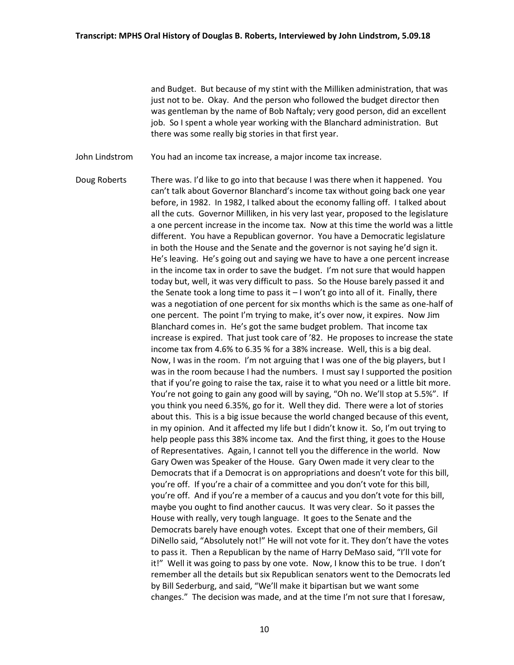and Budget. But because of my stint with the Milliken administration, that was just not to be. Okay. And the person who followed the budget director then was gentleman by the name of Bob Naftaly; very good person, did an excellent job. So I spent a whole year working with the Blanchard administration. But there was some really big stories in that first year.

John Lindstrom You had an income tax increase, a major income tax increase.

Doug Roberts There was. I'd like to go into that because I was there when it happened. You can't talk about Governor Blanchard's income tax without going back one year before, in 1982. In 1982, I talked about the economy falling off. I talked about all the cuts. Governor Milliken, in his very last year, proposed to the legislature a one percent increase in the income tax. Now at this time the world was a little different. You have a Republican governor. You have a Democratic legislature in both the House and the Senate and the governor is not saying he'd sign it. He's leaving. He's going out and saying we have to have a one percent increase in the income tax in order to save the budget. I'm not sure that would happen today but, well, it was very difficult to pass. So the House barely passed it and the Senate took a long time to pass it  $-1$  won't go into all of it. Finally, there was a negotiation of one percent for six months which is the same as one-half of one percent. The point I'm trying to make, it's over now, it expires. Now Jim Blanchard comes in. He's got the same budget problem. That income tax increase is expired. That just took care of '82. He proposes to increase the state income tax from 4.6% to 6.35 % for a 38% increase. Well, this is a big deal. Now, I was in the room. I'm not arguing that I was one of the big players, but I was in the room because I had the numbers. I must say I supported the position that if you're going to raise the tax, raise it to what you need or a little bit more. You're not going to gain any good will by saying, "Oh no. We'll stop at 5.5%". If you think you need 6.35%, go for it. Well they did. There were a lot of stories about this. This is a big issue because the world changed because of this event, in my opinion. And it affected my life but I didn't know it. So, I'm out trying to help people pass this 38% income tax. And the first thing, it goes to the House of Representatives. Again, I cannot tell you the difference in the world. Now Gary Owen was Speaker of the House. Gary Owen made it very clear to the Democrats that if a Democrat is on appropriations and doesn't vote for this bill, you're off. If you're a chair of a committee and you don't vote for this bill, you're off. And if you're a member of a caucus and you don't vote for this bill, maybe you ought to find another caucus. It was very clear. So it passes the House with really, very tough language. It goes to the Senate and the Democrats barely have enough votes. Except that one of their members, Gil DiNello said, "Absolutely not!" He will not vote for it. They don't have the votes to pass it. Then a Republican by the name of Harry DeMaso said, "I'll vote for it!" Well it was going to pass by one vote. Now, I know this to be true. I don't remember all the details but six Republican senators went to the Democrats led by Bill Sederburg, and said, "We'll make it bipartisan but we want some changes." The decision was made, and at the time I'm not sure that I foresaw,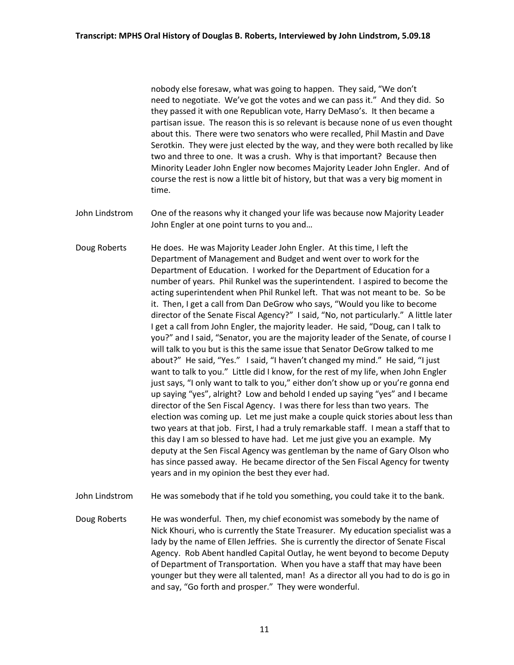nobody else foresaw, what was going to happen. They said, "We don't need to negotiate. We've got the votes and we can pass it." And they did. So they passed it with one Republican vote, Harry DeMaso's. It then became a partisan issue. The reason this is so relevant is because none of us even thought about this. There were two senators who were recalled, Phil Mastin and Dave Serotkin. They were just elected by the way, and they were both recalled by like two and three to one. It was a crush. Why is that important? Because then Minority Leader John Engler now becomes Majority Leader John Engler. And of course the rest is now a little bit of history, but that was a very big moment in time.

- John Lindstrom One of the reasons why it changed your life was because now Majority Leader John Engler at one point turns to you and…
- Doug Roberts He does. He was Majority Leader John Engler. At this time, I left the Department of Management and Budget and went over to work for the Department of Education. I worked for the Department of Education for a number of years. Phil Runkel was the superintendent. I aspired to become the acting superintendent when Phil Runkel left. That was not meant to be. So be it. Then, I get a call from Dan DeGrow who says, "Would you like to become director of the Senate Fiscal Agency?" I said, "No, not particularly." A little later I get a call from John Engler, the majority leader. He said, "Doug, can I talk to you?" and I said, "Senator, you are the majority leader of the Senate, of course I will talk to you but is this the same issue that Senator DeGrow talked to me about?" He said, "Yes." I said, "I haven't changed my mind." He said, "I just want to talk to you." Little did I know, for the rest of my life, when John Engler just says, "I only want to talk to you," either don't show up or you're gonna end up saying "yes", alright? Low and behold I ended up saying "yes" and I became director of the Sen Fiscal Agency. I was there for less than two years. The election was coming up. Let me just make a couple quick stories about less than two years at that job. First, I had a truly remarkable staff. I mean a staff that to this day I am so blessed to have had. Let me just give you an example. My deputy at the Sen Fiscal Agency was gentleman by the name of Gary Olson who has since passed away. He became director of the Sen Fiscal Agency for twenty years and in my opinion the best they ever had.
- John Lindstrom He was somebody that if he told you something, you could take it to the bank.
- Doug Roberts He was wonderful. Then, my chief economist was somebody by the name of Nick Khouri, who is currently the State Treasurer. My education specialist was a lady by the name of Ellen Jeffries. She is currently the director of Senate Fiscal Agency. Rob Abent handled Capital Outlay, he went beyond to become Deputy of Department of Transportation. When you have a staff that may have been younger but they were all talented, man! As a director all you had to do is go in and say, "Go forth and prosper." They were wonderful.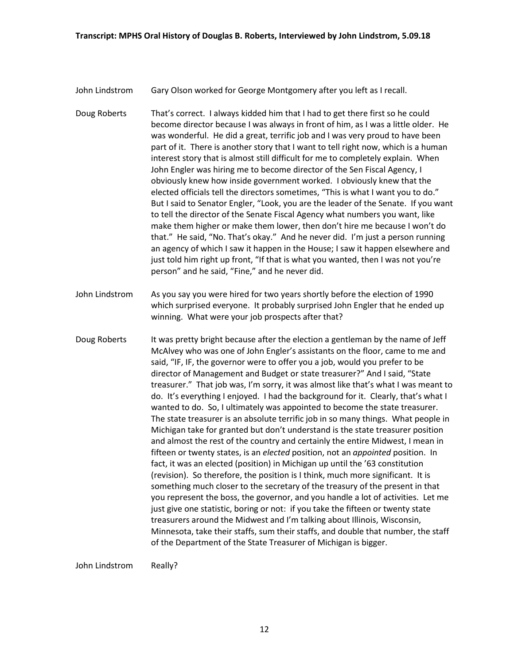John Lindstrom Gary Olson worked for George Montgomery after you left as I recall.

Doug Roberts That's correct. I always kidded him that I had to get there first so he could become director because I was always in front of him, as I was a little older. He was wonderful. He did a great, terrific job and I was very proud to have been part of it. There is another story that I want to tell right now, which is a human interest story that is almost still difficult for me to completely explain. When John Engler was hiring me to become director of the Sen Fiscal Agency, I obviously knew how inside government worked. I obviously knew that the elected officials tell the directors sometimes, "This is what I want you to do." But I said to Senator Engler, "Look, you are the leader of the Senate. If you want to tell the director of the Senate Fiscal Agency what numbers you want, like make them higher or make them lower, then don't hire me because I won't do that." He said, "No. That's okay." And he never did. I'm just a person running an agency of which I saw it happen in the House; I saw it happen elsewhere and just told him right up front, "If that is what you wanted, then I was not you're person" and he said, "Fine," and he never did.

John Lindstrom As you say you were hired for two years shortly before the election of 1990 which surprised everyone. It probably surprised John Engler that he ended up winning. What were your job prospects after that?

Doug Roberts It was pretty bright because after the election a gentleman by the name of Jeff McAlvey who was one of John Engler's assistants on the floor, came to me and said, "IF, IF, the governor were to offer you a job, would you prefer to be director of Management and Budget or state treasurer?" And I said, "State treasurer." That job was, I'm sorry, it was almost like that's what I was meant to do. It's everything I enjoyed. I had the background for it. Clearly, that's what I wanted to do. So, I ultimately was appointed to become the state treasurer. The state treasurer is an absolute terrific job in so many things. What people in Michigan take for granted but don't understand is the state treasurer position and almost the rest of the country and certainly the entire Midwest, I mean in fifteen or twenty states, is an *elected* position, not an *appointed* position. In fact, it was an elected (position) in Michigan up until the '63 constitution (revision). So therefore, the position is I think, much more significant. It is something much closer to the secretary of the treasury of the present in that you represent the boss, the governor, and you handle a lot of activities. Let me just give one statistic, boring or not: if you take the fifteen or twenty state treasurers around the Midwest and I'm talking about Illinois, Wisconsin, Minnesota, take their staffs, sum their staffs, and double that number, the staff of the Department of the State Treasurer of Michigan is bigger.

John Lindstrom Really?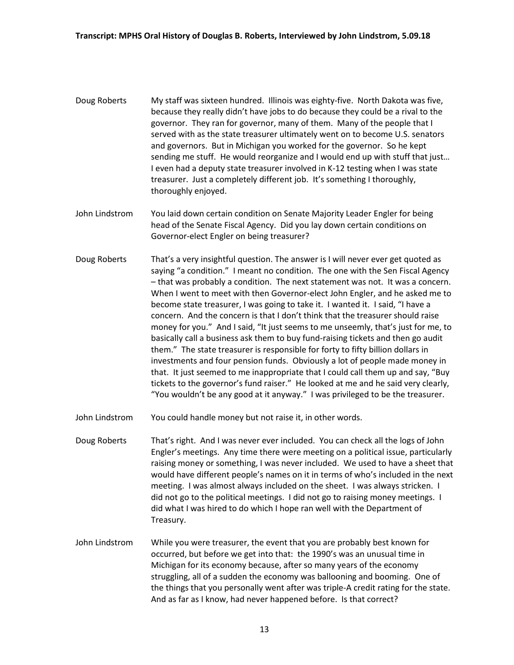- Doug Roberts My staff was sixteen hundred. Illinois was eighty-five. North Dakota was five, because they really didn't have jobs to do because they could be a rival to the governor. They ran for governor, many of them. Many of the people that I served with as the state treasurer ultimately went on to become U.S. senators and governors. But in Michigan you worked for the governor. So he kept sending me stuff. He would reorganize and I would end up with stuff that just… I even had a deputy state treasurer involved in K-12 testing when I was state treasurer. Just a completely different job. It's something I thoroughly, thoroughly enjoyed.
- John Lindstrom You laid down certain condition on Senate Majority Leader Engler for being head of the Senate Fiscal Agency. Did you lay down certain conditions on Governor-elect Engler on being treasurer?
- Doug Roberts That's a very insightful question. The answer is I will never ever get quoted as saying "a condition." I meant no condition. The one with the Sen Fiscal Agency – that was probably a condition. The next statement was not. It was a concern. When I went to meet with then Governor-elect John Engler, and he asked me to become state treasurer, I was going to take it. I wanted it. I said, "I have a concern. And the concern is that I don't think that the treasurer should raise money for you." And I said, "It just seems to me unseemly, that's just for me, to basically call a business ask them to buy fund-raising tickets and then go audit them." The state treasurer is responsible for forty to fifty billion dollars in investments and four pension funds. Obviously a lot of people made money in that. It just seemed to me inappropriate that I could call them up and say, "Buy tickets to the governor's fund raiser." He looked at me and he said very clearly, "You wouldn't be any good at it anyway." I was privileged to be the treasurer.
- John Lindstrom You could handle money but not raise it, in other words.
- Doug Roberts That's right. And I was never ever included. You can check all the logs of John Engler's meetings. Any time there were meeting on a political issue, particularly raising money or something, I was never included. We used to have a sheet that would have different people's names on it in terms of who's included in the next meeting. I was almost always included on the sheet. I was always stricken. I did not go to the political meetings. I did not go to raising money meetings. I did what I was hired to do which I hope ran well with the Department of Treasury.
- John Lindstrom While you were treasurer, the event that you are probably best known for occurred, but before we get into that: the 1990's was an unusual time in Michigan for its economy because, after so many years of the economy struggling, all of a sudden the economy was ballooning and booming. One of the things that you personally went after was triple-A credit rating for the state. And as far as I know, had never happened before. Is that correct?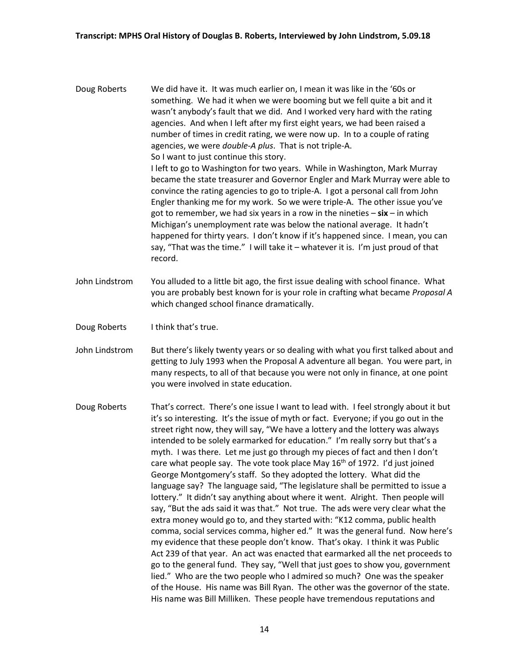- Doug Roberts We did have it. It was much earlier on, I mean it was like in the '60s or something. We had it when we were booming but we fell quite a bit and it wasn't anybody's fault that we did. And I worked very hard with the rating agencies. And when I left after my first eight years, we had been raised a number of times in credit rating, we were now up. In to a couple of rating agencies, we were *double-A plus*. That is not triple-A. So I want to just continue this story. I left to go to Washington for two years. While in Washington, Mark Murray became the state treasurer and Governor Engler and Mark Murray were able to convince the rating agencies to go to triple-A. I got a personal call from John Engler thanking me for my work. So we were triple-A. The other issue you've got to remember, we had six years in a row in the nineties – **six** – in which Michigan's unemployment rate was below the national average. It hadn't happened for thirty years. I don't know if it's happened since. I mean, you can say, "That was the time." I will take it – whatever it is. I'm just proud of that record.
- John Lindstrom You alluded to a little bit ago, the first issue dealing with school finance. What you are probably best known for is your role in crafting what became *Proposal A* which changed school finance dramatically.
- Doug Roberts I think that's true.
- John Lindstrom But there's likely twenty years or so dealing with what you first talked about and getting to July 1993 when the Proposal A adventure all began. You were part, in many respects, to all of that because you were not only in finance, at one point you were involved in state education.
- Doug Roberts That's correct. There's one issue I want to lead with. I feel strongly about it but it's so interesting. It's the issue of myth or fact. Everyone; if you go out in the street right now, they will say, "We have a lottery and the lottery was always intended to be solely earmarked for education." I'm really sorry but that's a myth. I was there. Let me just go through my pieces of fact and then I don't care what people say. The vote took place May  $16<sup>th</sup>$  of 1972. I'd just joined George Montgomery's staff. So they adopted the lottery. What did the language say? The language said, "The legislature shall be permitted to issue a lottery." It didn't say anything about where it went. Alright. Then people will say, "But the ads said it was that." Not true. The ads were very clear what the extra money would go to, and they started with: "K12 comma, public health comma, social services comma, higher ed." It was the general fund. Now here's my evidence that these people don't know. That's okay. I think it was Public Act 239 of that year. An act was enacted that earmarked all the net proceeds to go to the general fund. They say, "Well that just goes to show you, government lied." Who are the two people who I admired so much? One was the speaker of the House. His name was Bill Ryan. The other was the governor of the state. His name was Bill Milliken. These people have tremendous reputations and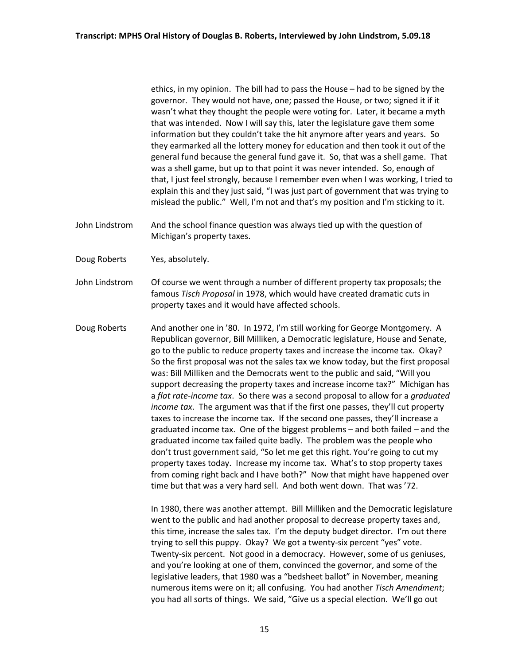ethics, in my opinion. The bill had to pass the House – had to be signed by the governor. They would not have, one; passed the House, or two; signed it if it wasn't what they thought the people were voting for. Later, it became a myth that was intended. Now I will say this, later the legislature gave them some information but they couldn't take the hit anymore after years and years. So they earmarked all the lottery money for education and then took it out of the general fund because the general fund gave it. So, that was a shell game. That was a shell game, but up to that point it was never intended. So, enough of that, I just feel strongly, because I remember even when I was working, I tried to explain this and they just said, "I was just part of government that was trying to mislead the public." Well, I'm not and that's my position and I'm sticking to it.

- John Lindstrom And the school finance question was always tied up with the question of Michigan's property taxes.
- Doug Roberts Yes, absolutely.
- John Lindstrom Of course we went through a number of different property tax proposals; the famous *Tisch Proposal* in 1978, which would have created dramatic cuts in property taxes and it would have affected schools.
- Doug Roberts And another one in '80. In 1972, I'm still working for George Montgomery. A Republican governor, Bill Milliken, a Democratic legislature, House and Senate, go to the public to reduce property taxes and increase the income tax. Okay? So the first proposal was not the sales tax we know today, but the first proposal was: Bill Milliken and the Democrats went to the public and said, "Will you support decreasing the property taxes and increase income tax?" Michigan has a *flat rate-income tax*. So there was a second proposal to allow for a *graduated income tax*. The argument was that if the first one passes, they'll cut property taxes to increase the income tax. If the second one passes, they'll increase a graduated income tax. One of the biggest problems – and both failed – and the graduated income tax failed quite badly. The problem was the people who don't trust government said, "So let me get this right. You're going to cut my property taxes today. Increase my income tax. What's to stop property taxes from coming right back and I have both?" Now that might have happened over time but that was a very hard sell. And both went down. That was '72.

In 1980, there was another attempt. Bill Milliken and the Democratic legislature went to the public and had another proposal to decrease property taxes and, this time, increase the sales tax. I'm the deputy budget director. I'm out there trying to sell this puppy. Okay? We got a twenty-six percent "yes" vote. Twenty-six percent. Not good in a democracy. However, some of us geniuses, and you're looking at one of them, convinced the governor, and some of the legislative leaders, that 1980 was a "bedsheet ballot" in November, meaning numerous items were on it; all confusing. You had another *Tisch Amendment*; you had all sorts of things. We said, "Give us a special election. We'll go out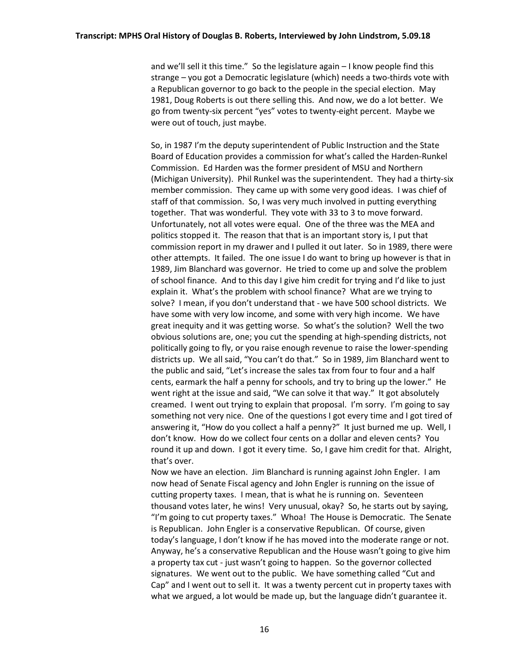and we'll sell it this time." So the legislature again – I know people find this strange – you got a Democratic legislature (which) needs a two-thirds vote with a Republican governor to go back to the people in the special election. May 1981, Doug Roberts is out there selling this. And now, we do a lot better. We go from twenty-six percent "yes" votes to twenty-eight percent. Maybe we were out of touch, just maybe.

So, in 1987 I'm the deputy superintendent of Public Instruction and the State Board of Education provides a commission for what's called the Harden-Runkel Commission. Ed Harden was the former president of MSU and Northern (Michigan University). Phil Runkel was the superintendent. They had a thirty-six member commission. They came up with some very good ideas. I was chief of staff of that commission. So, I was very much involved in putting everything together. That was wonderful. They vote with 33 to 3 to move forward. Unfortunately, not all votes were equal. One of the three was the MEA and politics stopped it. The reason that that is an important story is, I put that commission report in my drawer and I pulled it out later. So in 1989, there were other attempts. It failed. The one issue I do want to bring up however is that in 1989, Jim Blanchard was governor. He tried to come up and solve the problem of school finance. And to this day I give him credit for trying and I'd like to just explain it. What's the problem with school finance? What are we trying to solve? I mean, if you don't understand that - we have 500 school districts. We have some with very low income, and some with very high income. We have great inequity and it was getting worse. So what's the solution? Well the two obvious solutions are, one; you cut the spending at high-spending districts, not politically going to fly, or you raise enough revenue to raise the lower-spending districts up. We all said, "You can't do that." So in 1989, Jim Blanchard went to the public and said, "Let's increase the sales tax from four to four and a half cents, earmark the half a penny for schools, and try to bring up the lower." He went right at the issue and said, "We can solve it that way." It got absolutely creamed. I went out trying to explain that proposal. I'm sorry. I'm going to say something not very nice. One of the questions I got every time and I got tired of answering it, "How do you collect a half a penny?" It just burned me up. Well, I don't know. How do we collect four cents on a dollar and eleven cents? You round it up and down. I got it every time. So, I gave him credit for that. Alright, that's over.

Now we have an election. Jim Blanchard is running against John Engler. I am now head of Senate Fiscal agency and John Engler is running on the issue of cutting property taxes. I mean, that is what he is running on. Seventeen thousand votes later, he wins! Very unusual, okay? So, he starts out by saying, "I'm going to cut property taxes." Whoa! The House is Democratic. The Senate is Republican. John Engler is a conservative Republican. Of course, given today's language, I don't know if he has moved into the moderate range or not. Anyway, he's a conservative Republican and the House wasn't going to give him a property tax cut - just wasn't going to happen. So the governor collected signatures. We went out to the public. We have something called "Cut and Cap" and I went out to sell it. It was a twenty percent cut in property taxes with what we argued, a lot would be made up, but the language didn't guarantee it.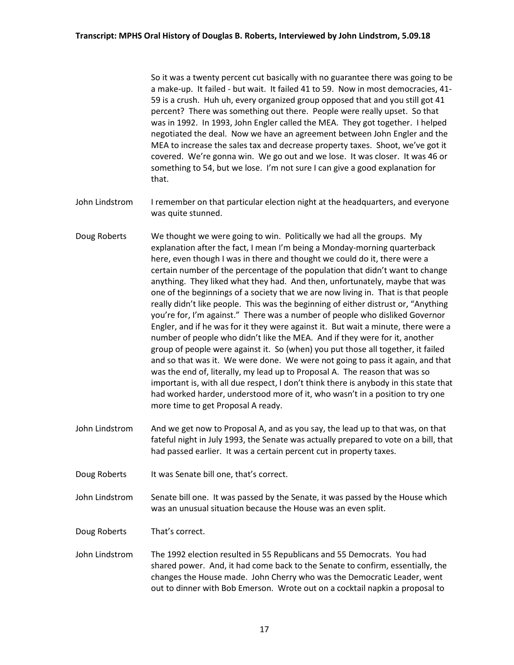So it was a twenty percent cut basically with no guarantee there was going to be a make-up. It failed - but wait. It failed 41 to 59. Now in most democracies, 41- 59 is a crush. Huh uh, every organized group opposed that and you still got 41 percent? There was something out there. People were really upset. So that was in 1992. In 1993, John Engler called the MEA. They got together. I helped negotiated the deal. Now we have an agreement between John Engler and the MEA to increase the sales tax and decrease property taxes. Shoot, we've got it covered. We're gonna win. We go out and we lose. It was closer. It was 46 or something to 54, but we lose. I'm not sure I can give a good explanation for that.

- John Lindstrom I remember on that particular election night at the headquarters, and everyone was quite stunned.
- Doug Roberts We thought we were going to win. Politically we had all the groups. My explanation after the fact, I mean I'm being a Monday-morning quarterback here, even though I was in there and thought we could do it, there were a certain number of the percentage of the population that didn't want to change anything. They liked what they had. And then, unfortunately, maybe that was one of the beginnings of a society that we are now living in. That is that people really didn't like people. This was the beginning of either distrust or, "Anything you're for, I'm against." There was a number of people who disliked Governor Engler, and if he was for it they were against it. But wait a minute, there were a number of people who didn't like the MEA. And if they were for it, another group of people were against it. So (when) you put those all together, it failed and so that was it. We were done. We were not going to pass it again, and that was the end of, literally, my lead up to Proposal A. The reason that was so important is, with all due respect, I don't think there is anybody in this state that had worked harder, understood more of it, who wasn't in a position to try one more time to get Proposal A ready.
- John Lindstrom And we get now to Proposal A, and as you say, the lead up to that was, on that fateful night in July 1993, the Senate was actually prepared to vote on a bill, that had passed earlier. It was a certain percent cut in property taxes.
- Doug Roberts It was Senate bill one, that's correct.

John Lindstrom Senate bill one. It was passed by the Senate, it was passed by the House which was an unusual situation because the House was an even split.

Doug Roberts That's correct.

John Lindstrom The 1992 election resulted in 55 Republicans and 55 Democrats. You had shared power. And, it had come back to the Senate to confirm, essentially, the changes the House made. John Cherry who was the Democratic Leader, went out to dinner with Bob Emerson. Wrote out on a cocktail napkin a proposal to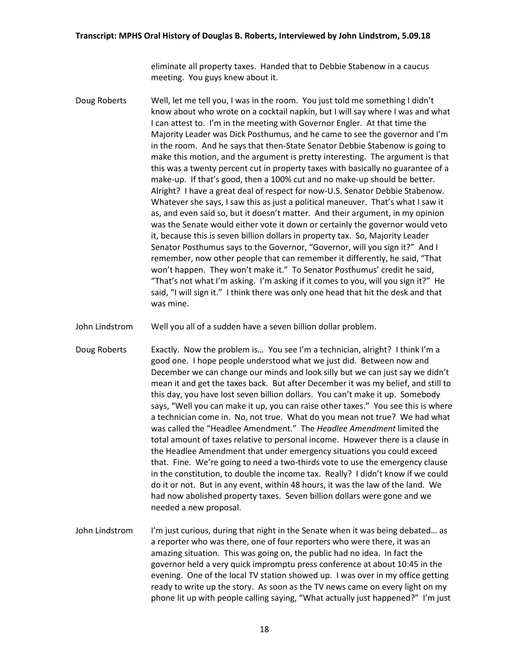eliminate all property taxes. Handed that to Debbie Stabenow in a caucus meeting. You guys knew about it.

- Doug Roberts Well, let me tell you, I was in the room. You just told me something I didn't know about who wrote on a cocktail napkin, but I will say where I was and what I can attest to. I'm in the meeting with Governor Engler. At that time the Majority Leader was Dick Posthumus, and he came to see the governor and I'm in the room. And he says that then-State Senator Debbie Stabenow is going to make this motion, and the argument is pretty interesting. The argument is that this was a twenty percent cut in property taxes with basically no guarantee of a make-up. If that's good, then a 100% cut and no make-up should be better. Alright? I have a great deal of respect for now-U.S. Senator Debbie Stabenow. Whatever she says, I saw this as just a political maneuver. That's what I saw it as, and even said so, but it doesn't matter. And their argument, in my opinion was the Senate would either vote it down or certainly the governor would veto it, because this is seven billion dollars in property tax. So, Majority Leader Senator Posthumus says to the Governor, "Governor, will you sign it?" And I remember, now other people that can remember it differently, he said, "That won't happen. They won't make it." To Senator Posthumus' credit he said, "That's not what I'm asking. I'm asking if it comes to you, will you sign it?" He said, "I will sign it." I think there was only one head that hit the desk and that was mine.
- John Lindstrom Well you all of a sudden have a seven billion dollar problem.
- Doug Roberts Exactly. Now the problem is... You see I'm a technician, alright? I think I'm a good one. I hope people understood what we just did. Between now and December we can change our minds and look silly but we can just say we didn't mean it and get the taxes back. But after December it was my belief, and still to this day, you have lost seven billion dollars. You can't make it up. Somebody says, "Well you can make it up, you can raise other taxes." You see this is where a technician come in. No, not true. What do you mean not true? We had what was called the "Headlee Amendment." The *Headlee Amendment* limited the total amount of taxes relative to personal income. However there is a clause in the Headlee Amendment that under emergency situations you could exceed that. Fine. We're going to need a two-thirds vote to use the emergency clause in the constitution, to double the income tax. Really? I didn't know if we could do it or not. But in any event, within 48 hours, it was the law of the land. We had now abolished property taxes. Seven billion dollars were gone and we needed a new proposal.
- John Lindstrom I'm just curious, during that night in the Senate when it was being debated... as a reporter who was there, one of four reporters who were there, it was an amazing situation. This was going on, the public had no idea. In fact the governor held a very quick impromptu press conference at about 10:45 in the evening. One of the local TV station showed up. I was over in my office getting ready to write up the story. As soon as the TV news came on every light on my phone lit up with people calling saying, "What actually just happened?" I'm just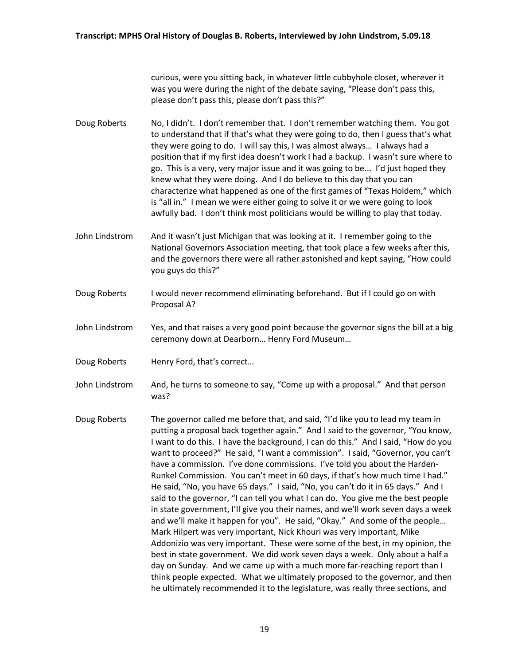curious, were you sitting back, in whatever little cubbyhole closet, wherever it was you were during the night of the debate saying, "Please don't pass this, please don't pass this, please don't pass this?"

- Doug Roberts No, I didn't. I don't remember that. I don't remember watching them. You got to understand that if that's what they were going to do, then I guess that's what they were going to do. I will say this, I was almost always… I always had a position that if my first idea doesn't work I had a backup. I wasn't sure where to go. This is a very, very major issue and it was going to be... I'd just hoped they knew what they were doing. And I do believe to this day that you can characterize what happened as one of the first games of "Texas Holdem," which is "all in." I mean we were either going to solve it or we were going to look awfully bad. I don't think most politicians would be willing to play that today.
- John Lindstrom And it wasn't just Michigan that was looking at it. I remember going to the National Governors Association meeting, that took place a few weeks after this, and the governors there were all rather astonished and kept saying, "How could you guys do this?"
- Doug Roberts I would never recommend eliminating beforehand. But if I could go on with Proposal A?
- John Lindstrom Yes, and that raises a very good point because the governor signs the bill at a big ceremony down at Dearborn… Henry Ford Museum…
- Doug Roberts Henry Ford, that's correct…
- John Lindstrom And, he turns to someone to say, "Come up with a proposal." And that person was?
- Doug Roberts The governor called me before that, and said, "I'd like you to lead my team in putting a proposal back together again." And I said to the governor, "You know, I want to do this. I have the background, I can do this." And I said, "How do you want to proceed?" He said, "I want a commission". I said, "Governor, you can't have a commission. I've done commissions. I've told you about the Harden-Runkel Commission. You can't meet in 60 days, if that's how much time I had." He said, "No, you have 65 days." I said, "No, you can't do it in 65 days." And I said to the governor, "I can tell you what I can do. You give me the best people in state government, I'll give you their names, and we'll work seven days a week and we'll make it happen for you". He said, "Okay." And some of the people… Mark Hilpert was very important, Nick Khouri was very important, Mike Addonizio was very important. These were some of the best, in my opinion, the best in state government. We did work seven days a week. Only about a half a day on Sunday. And we came up with a much more far-reaching report than I think people expected. What we ultimately proposed to the governor, and then he ultimately recommended it to the legislature, was really three sections, and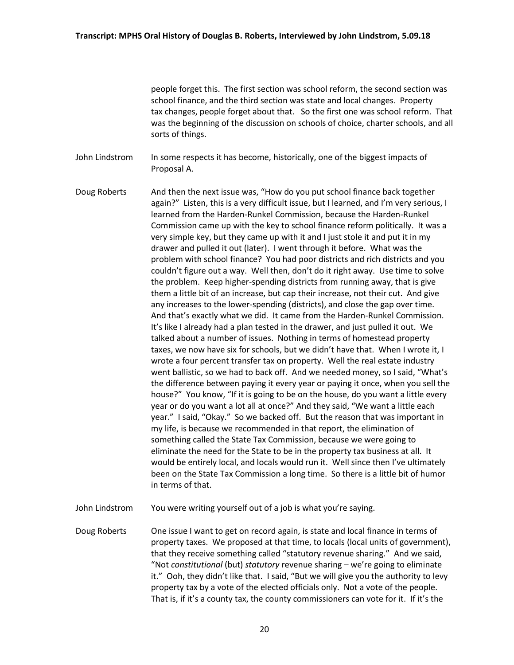people forget this. The first section was school reform, the second section was school finance, and the third section was state and local changes. Property tax changes, people forget about that. So the first one was school reform. That was the beginning of the discussion on schools of choice, charter schools, and all sorts of things.

John Lindstrom In some respects it has become, historically, one of the biggest impacts of Proposal A.

Doug Roberts And then the next issue was, "How do you put school finance back together again?" Listen, this is a very difficult issue, but I learned, and I'm very serious, I learned from the Harden-Runkel Commission, because the Harden-Runkel Commission came up with the key to school finance reform politically. It was a very simple key, but they came up with it and I just stole it and put it in my drawer and pulled it out (later). I went through it before. What was the problem with school finance? You had poor districts and rich districts and you couldn't figure out a way. Well then, don't do it right away. Use time to solve the problem. Keep higher-spending districts from running away, that is give them a little bit of an increase, but cap their increase, not their cut. And give any increases to the lower-spending (districts), and close the gap over time. And that's exactly what we did. It came from the Harden-Runkel Commission. It's like I already had a plan tested in the drawer, and just pulled it out. We talked about a number of issues. Nothing in terms of homestead property taxes, we now have six for schools, but we didn't have that. When I wrote it, I wrote a four percent transfer tax on property. Well the real estate industry went ballistic, so we had to back off. And we needed money, so I said, "What's the difference between paying it every year or paying it once, when you sell the house?" You know, "If it is going to be on the house, do you want a little every year or do you want a lot all at once?" And they said, "We want a little each year." I said, "Okay." So we backed off. But the reason that was important in my life, is because we recommended in that report, the elimination of something called the State Tax Commission, because we were going to eliminate the need for the State to be in the property tax business at all. It would be entirely local, and locals would run it. Well since then I've ultimately been on the State Tax Commission a long time. So there is a little bit of humor in terms of that.

John Lindstrom You were writing yourself out of a job is what you're saying.

Doug Roberts One issue I want to get on record again, is state and local finance in terms of property taxes. We proposed at that time, to locals (local units of government), that they receive something called "statutory revenue sharing." And we said, "Not *constitutional* (but) *statutory* revenue sharing – we're going to eliminate it." Ooh, they didn't like that. I said, "But we will give you the authority to levy property tax by a vote of the elected officials only. Not a vote of the people. That is, if it's a county tax, the county commissioners can vote for it. If it's the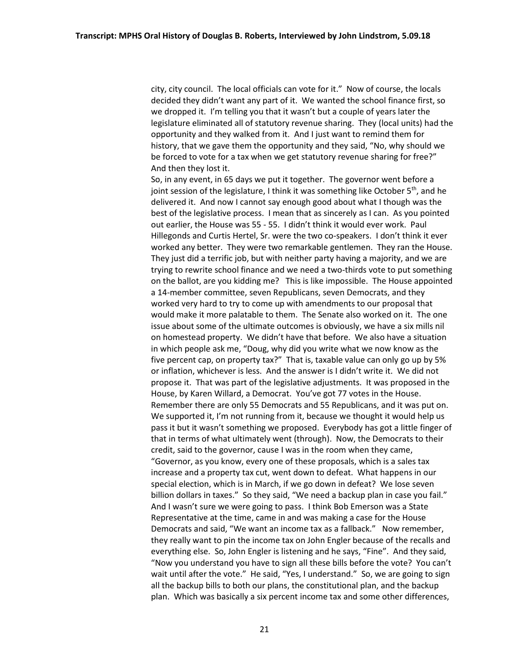city, city council. The local officials can vote for it." Now of course, the locals decided they didn't want any part of it. We wanted the school finance first, so we dropped it. I'm telling you that it wasn't but a couple of years later the legislature eliminated all of statutory revenue sharing. They (local units) had the opportunity and they walked from it. And I just want to remind them for history, that we gave them the opportunity and they said, "No, why should we be forced to vote for a tax when we get statutory revenue sharing for free?" And then they lost it.

So, in any event, in 65 days we put it together. The governor went before a joint session of the legislature, I think it was something like October  $5<sup>th</sup>$ , and he delivered it. And now I cannot say enough good about what I though was the best of the legislative process. I mean that as sincerely as I can. As you pointed out earlier, the House was 55 - 55. I didn't think it would ever work. Paul Hillegonds and Curtis Hertel, Sr. were the two co-speakers. I don't think it ever worked any better. They were two remarkable gentlemen. They ran the House. They just did a terrific job, but with neither party having a majority, and we are trying to rewrite school finance and we need a two-thirds vote to put something on the ballot, are you kidding me? This is like impossible. The House appointed a 14-member committee, seven Republicans, seven Democrats, and they worked very hard to try to come up with amendments to our proposal that would make it more palatable to them. The Senate also worked on it. The one issue about some of the ultimate outcomes is obviously, we have a six mills nil on homestead property. We didn't have that before. We also have a situation in which people ask me, "Doug, why did you write what we now know as the five percent cap, on property tax?" That is, taxable value can only go up by 5% or inflation, whichever is less. And the answer is I didn't write it. We did not propose it. That was part of the legislative adjustments. It was proposed in the House, by Karen Willard, a Democrat. You've got 77 votes in the House. Remember there are only 55 Democrats and 55 Republicans, and it was put on. We supported it, I'm not running from it, because we thought it would help us pass it but it wasn't something we proposed. Everybody has got a little finger of that in terms of what ultimately went (through). Now, the Democrats to their credit, said to the governor, cause I was in the room when they came, "Governor, as you know, every one of these proposals, which is a sales tax increase and a property tax cut, went down to defeat. What happens in our special election, which is in March, if we go down in defeat? We lose seven billion dollars in taxes." So they said, "We need a backup plan in case you fail." And I wasn't sure we were going to pass. I think Bob Emerson was a State Representative at the time, came in and was making a case for the House Democrats and said, "We want an income tax as a fallback." Now remember, they really want to pin the income tax on John Engler because of the recalls and everything else. So, John Engler is listening and he says, "Fine". And they said, "Now you understand you have to sign all these bills before the vote? You can't wait until after the vote." He said, "Yes, I understand." So, we are going to sign all the backup bills to both our plans, the constitutional plan, and the backup plan. Which was basically a six percent income tax and some other differences,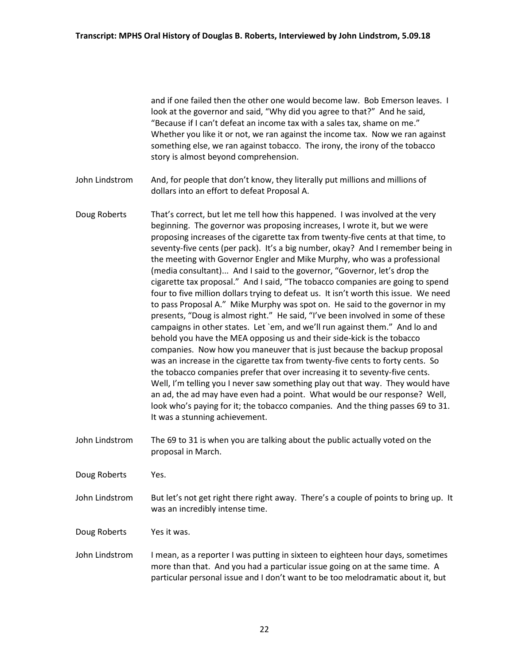and if one failed then the other one would become law. Bob Emerson leaves. I look at the governor and said, "Why did you agree to that?" And he said, "Because if I can't defeat an income tax with a sales tax, shame on me." Whether you like it or not, we ran against the income tax. Now we ran against something else, we ran against tobacco. The irony, the irony of the tobacco story is almost beyond comprehension.

- John Lindstrom And, for people that don't know, they literally put millions and millions of dollars into an effort to defeat Proposal A.
- Doug Roberts That's correct, but let me tell how this happened. I was involved at the very beginning. The governor was proposing increases, I wrote it, but we were proposing increases of the cigarette tax from twenty-five cents at that time, to seventy-five cents (per pack). It's a big number, okay? And I remember being in the meeting with Governor Engler and Mike Murphy, who was a professional (media consultant)... And I said to the governor, "Governor, let's drop the cigarette tax proposal." And I said, "The tobacco companies are going to spend four to five million dollars trying to defeat us. It isn't worth this issue. We need to pass Proposal A." Mike Murphy was spot on. He said to the governor in my presents, "Doug is almost right." He said, "I've been involved in some of these campaigns in other states. Let `em, and we'll run against them." And lo and behold you have the MEA opposing us and their side-kick is the tobacco companies. Now how you maneuver that is just because the backup proposal was an increase in the cigarette tax from twenty-five cents to forty cents. So the tobacco companies prefer that over increasing it to seventy-five cents. Well, I'm telling you I never saw something play out that way. They would have an ad, the ad may have even had a point. What would be our response? Well, look who's paying for it; the tobacco companies. And the thing passes 69 to 31. It was a stunning achievement.
- John Lindstrom The 69 to 31 is when you are talking about the public actually voted on the proposal in March.
- Doug Roberts Yes.

John Lindstrom But let's not get right there right away. There's a couple of points to bring up. It was an incredibly intense time.

Doug Roberts Yes it was.

John Lindstrom I mean, as a reporter I was putting in sixteen to eighteen hour days, sometimes more than that. And you had a particular issue going on at the same time. A particular personal issue and I don't want to be too melodramatic about it, but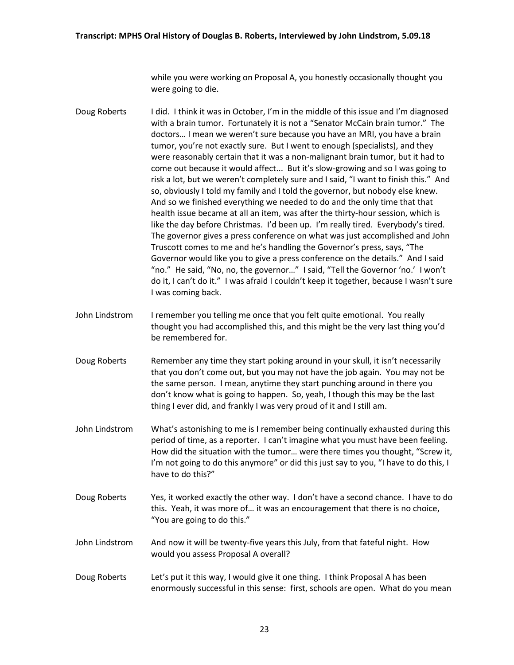while you were working on Proposal A, you honestly occasionally thought you were going to die.

- Doug Roberts I did. I think it was in October, I'm in the middle of this issue and I'm diagnosed with a brain tumor. Fortunately it is not a "Senator McCain brain tumor." The doctors… I mean we weren't sure because you have an MRI, you have a brain tumor, you're not exactly sure. But I went to enough (specialists), and they were reasonably certain that it was a non-malignant brain tumor, but it had to come out because it would affect... But it's slow-growing and so I was going to risk a lot, but we weren't completely sure and I said, "I want to finish this." And so, obviously I told my family and I told the governor, but nobody else knew. And so we finished everything we needed to do and the only time that that health issue became at all an item, was after the thirty-hour session, which is like the day before Christmas. I'd been up. I'm really tired. Everybody's tired. The governor gives a press conference on what was just accomplished and John Truscott comes to me and he's handling the Governor's press, says, "The Governor would like you to give a press conference on the details." And I said "no." He said, "No, no, the governor…" I said, "Tell the Governor 'no.' I won't do it, I can't do it." I was afraid I couldn't keep it together, because I wasn't sure I was coming back.
- John Lindstrom I remember you telling me once that you felt quite emotional. You really thought you had accomplished this, and this might be the very last thing you'd be remembered for.
- Doug Roberts Remember any time they start poking around in your skull, it isn't necessarily that you don't come out, but you may not have the job again. You may not be the same person. I mean, anytime they start punching around in there you don't know what is going to happen. So, yeah, I though this may be the last thing I ever did, and frankly I was very proud of it and I still am.
- John Lindstrom What's astonishing to me is I remember being continually exhausted during this period of time, as a reporter. I can't imagine what you must have been feeling. How did the situation with the tumor… were there times you thought, "Screw it, I'm not going to do this anymore" or did this just say to you, "I have to do this, I have to do this?"
- Doug Roberts Yes, it worked exactly the other way. I don't have a second chance. I have to do this. Yeah, it was more of… it was an encouragement that there is no choice, "You are going to do this."
- John Lindstrom And now it will be twenty-five years this July, from that fateful night. How would you assess Proposal A overall?
- Doug Roberts Let's put it this way, I would give it one thing. I think Proposal A has been enormously successful in this sense: first, schools are open. What do you mean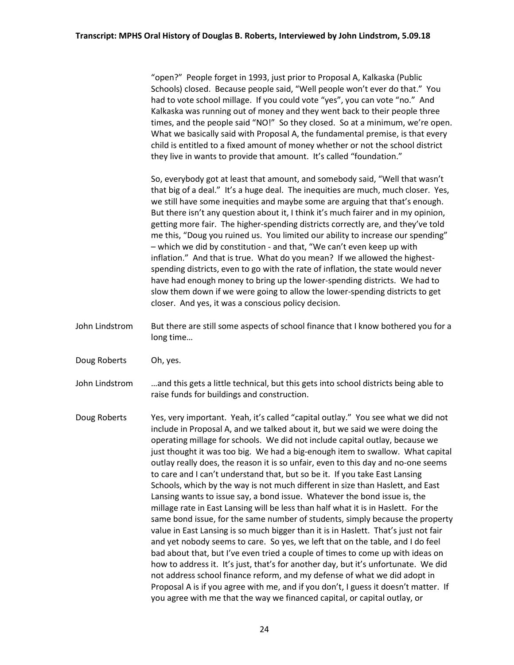"open?" People forget in 1993, just prior to Proposal A, Kalkaska (Public Schools) closed. Because people said, "Well people won't ever do that." You had to vote school millage. If you could vote "yes", you can vote "no." And Kalkaska was running out of money and they went back to their people three times, and the people said "NO!" So they closed. So at a minimum, we're open. What we basically said with Proposal A, the fundamental premise, is that every child is entitled to a fixed amount of money whether or not the school district they live in wants to provide that amount. It's called "foundation."

So, everybody got at least that amount, and somebody said, "Well that wasn't that big of a deal." It's a huge deal. The inequities are much, much closer. Yes, we still have some inequities and maybe some are arguing that that's enough. But there isn't any question about it, I think it's much fairer and in my opinion, getting more fair. The higher-spending districts correctly are, and they've told me this, "Doug you ruined us. You limited our ability to increase our spending" – which we did by constitution - and that, "We can't even keep up with inflation." And that is true. What do you mean? If we allowed the highestspending districts, even to go with the rate of inflation, the state would never have had enough money to bring up the lower-spending districts. We had to slow them down if we were going to allow the lower-spending districts to get closer. And yes, it was a conscious policy decision.

- John Lindstrom But there are still some aspects of school finance that I know bothered you for a long time…
- Doug Roberts Oh, yes.

John Lindstrom …and this gets a little technical, but this gets into school districts being able to raise funds for buildings and construction.

Doug Roberts Yes, very important. Yeah, it's called "capital outlay." You see what we did not include in Proposal A, and we talked about it, but we said we were doing the operating millage for schools. We did not include capital outlay, because we just thought it was too big. We had a big-enough item to swallow. What capital outlay really does, the reason it is so unfair, even to this day and no-one seems to care and I can't understand that, but so be it. If you take East Lansing Schools, which by the way is not much different in size than Haslett, and East Lansing wants to issue say, a bond issue. Whatever the bond issue is, the millage rate in East Lansing will be less than half what it is in Haslett. For the same bond issue, for the same number of students, simply because the property value in East Lansing is so much bigger than it is in Haslett. That's just not fair and yet nobody seems to care. So yes, we left that on the table, and I do feel bad about that, but I've even tried a couple of times to come up with ideas on how to address it. It's just, that's for another day, but it's unfortunate. We did not address school finance reform, and my defense of what we did adopt in Proposal A is if you agree with me, and if you don't, I guess it doesn't matter. If you agree with me that the way we financed capital, or capital outlay, or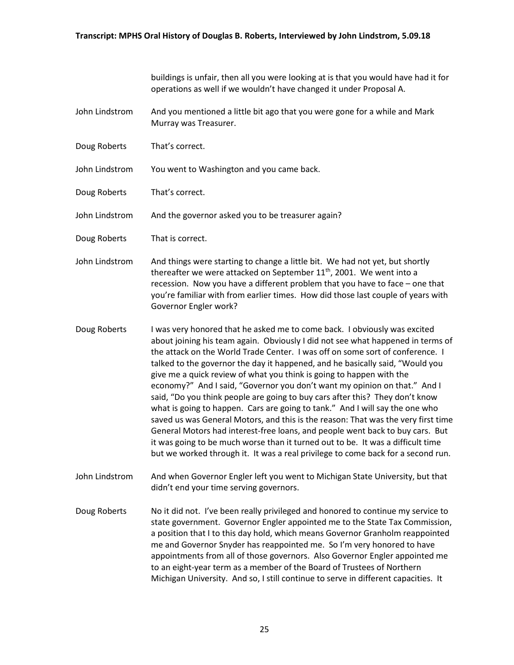buildings is unfair, then all you were looking at is that you would have had it for operations as well if we wouldn't have changed it under Proposal A.

- John Lindstrom And you mentioned a little bit ago that you were gone for a while and Mark Murray was Treasurer.
- Doug Roberts That's correct.
- John Lindstrom You went to Washington and you came back.
- Doug Roberts That's correct.
- John Lindstrom And the governor asked you to be treasurer again?
- Doug Roberts That is correct.
- John Lindstrom And things were starting to change a little bit. We had not yet, but shortly thereafter we were attacked on September  $11<sup>th</sup>$ , 2001. We went into a recession. Now you have a different problem that you have to face – one that you're familiar with from earlier times. How did those last couple of years with Governor Engler work?
- Doug Roberts I was very honored that he asked me to come back. I obviously was excited about joining his team again. Obviously I did not see what happened in terms of the attack on the World Trade Center. I was off on some sort of conference. I talked to the governor the day it happened, and he basically said, "Would you give me a quick review of what you think is going to happen with the economy?" And I said, "Governor you don't want my opinion on that." And I said, "Do you think people are going to buy cars after this? They don't know what is going to happen. Cars are going to tank." And I will say the one who saved us was General Motors, and this is the reason: That was the very first time General Motors had interest-free loans, and people went back to buy cars. But it was going to be much worse than it turned out to be. It was a difficult time but we worked through it. It was a real privilege to come back for a second run.
- John Lindstrom And when Governor Engler left you went to Michigan State University, but that didn't end your time serving governors.
- Doug Roberts No it did not. I've been really privileged and honored to continue my service to state government. Governor Engler appointed me to the State Tax Commission, a position that I to this day hold, which means Governor Granholm reappointed me and Governor Snyder has reappointed me. So I'm very honored to have appointments from all of those governors. Also Governor Engler appointed me to an eight-year term as a member of the Board of Trustees of Northern Michigan University. And so, I still continue to serve in different capacities. It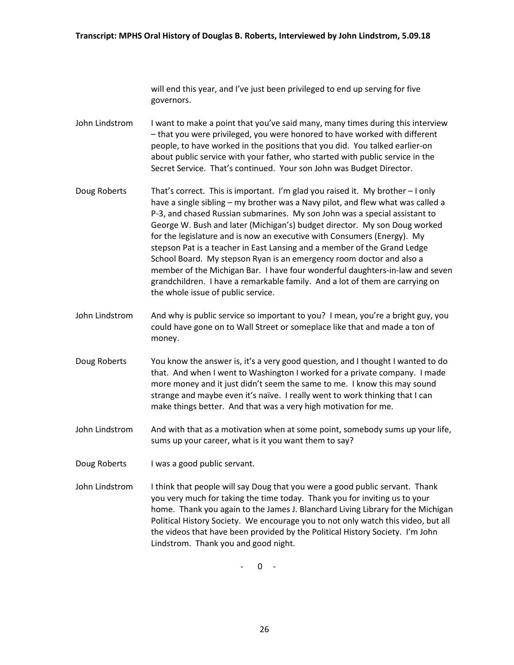will end this year, and I've just been privileged to end up serving for five governors.

John Lindstrom I want to make a point that you've said many, many times during this interview – that you were privileged, you were honored to have worked with different people, to have worked in the positions that you did. You talked earlier-on about public service with your father, who started with public service in the Secret Service. That's continued. Your son John was Budget Director.

- Doug Roberts That's correct. This is important. I'm glad you raised it. My brother I only have a single sibling – my brother was a Navy pilot, and flew what was called a P-3, and chased Russian submarines. My son John was a special assistant to George W. Bush and later (Michigan's) budget director. My son Doug worked for the legislature and is now an executive with Consumers (Energy). My stepson Pat is a teacher in East Lansing and a member of the Grand Ledge School Board. My stepson Ryan is an emergency room doctor and also a member of the Michigan Bar. I have four wonderful daughters-in-law and seven grandchildren. I have a remarkable family. And a lot of them are carrying on the whole issue of public service.
- John Lindstrom And why is public service so important to you? I mean, you're a bright guy, you could have gone on to Wall Street or someplace like that and made a ton of money.
- Doug Roberts You know the answer is, it's a very good question, and I thought I wanted to do that. And when I went to Washington I worked for a private company. I made more money and it just didn't seem the same to me. I know this may sound strange and maybe even it's naïve. I really went to work thinking that I can make things better. And that was a very high motivation for me.
- John Lindstrom And with that as a motivation when at some point, somebody sums up your life, sums up your career, what is it you want them to say?
- Doug Roberts I was a good public servant.
- John Lindstrom I think that people will say Doug that you were a good public servant. Thank you very much for taking the time today. Thank you for inviting us to your home. Thank you again to the James J. Blanchard Living Library for the Michigan Political History Society. We encourage you to not only watch this video, but all the videos that have been provided by the Political History Society. I'm John Lindstrom. Thank you and good night.

 $0 -$